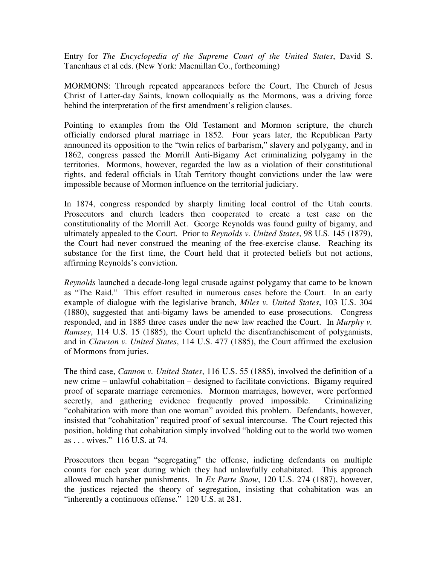Entry for *The Encyclopedia of the Supreme Court of the United States*, David S. Tanenhaus et al eds. (New York: Macmillan Co., forthcoming)

MORMONS: Through repeated appearances before the Court, The Church of Jesus Christ of Latter-day Saints, known colloquially as the Mormons, was a driving force behind the interpretation of the first amendment's religion clauses.

Pointing to examples from the Old Testament and Mormon scripture, the church officially endorsed plural marriage in 1852. Four years later, the Republican Party announced its opposition to the "twin relics of barbarism," slavery and polygamy, and in 1862, congress passed the Morrill Anti-Bigamy Act criminalizing polygamy in the territories. Mormons, however, regarded the law as a violation of their constitutional rights, and federal officials in Utah Territory thought convictions under the law were impossible because of Mormon influence on the territorial judiciary.

In 1874, congress responded by sharply limiting local control of the Utah courts. Prosecutors and church leaders then cooperated to create a test case on the constitutionality of the Morrill Act. George Reynolds was found guilty of bigamy, and ultimately appealed to the Court. Prior to *Reynolds v. United States*, 98 U.S. 145 (1879), the Court had never construed the meaning of the free-exercise clause. Reaching its substance for the first time, the Court held that it protected beliefs but not actions, affirming Reynolds's conviction.

*Reynolds* launched a decade-long legal crusade against polygamy that came to be known as "The Raid." This effort resulted in numerous cases before the Court. In an early example of dialogue with the legislative branch, *Miles v. United States*, 103 U.S. 304 (1880), suggested that anti-bigamy laws be amended to ease prosecutions. Congress responded, and in 1885 three cases under the new law reached the Court. In *Murphy v. Ramsey*, 114 U.S. 15 (1885), the Court upheld the disenfranchisement of polygamists, and in *Clawson v. United States*, 114 U.S. 477 (1885), the Court affirmed the exclusion of Mormons from juries.

The third case, *Cannon v. United States*, 116 U.S. 55 (1885), involved the definition of a new crime – unlawful cohabitation – designed to facilitate convictions. Bigamy required proof of separate marriage ceremonies. Mormon marriages, however, were performed secretly, and gathering evidence frequently proved impossible. Criminalizing "cohabitation with more than one woman" avoided this problem. Defendants, however, insisted that "cohabitation" required proof of sexual intercourse. The Court rejected this position, holding that cohabitation simply involved "holding out to the world two women as . . . wives." 116 U.S. at 74.

Prosecutors then began "segregating" the offense, indicting defendants on multiple counts for each year during which they had unlawfully cohabitated. This approach allowed much harsher punishments. In *Ex Parte Snow*, 120 U.S. 274 (1887), however, the justices rejected the theory of segregation, insisting that cohabitation was an "inherently a continuous offense." 120 U.S. at 281.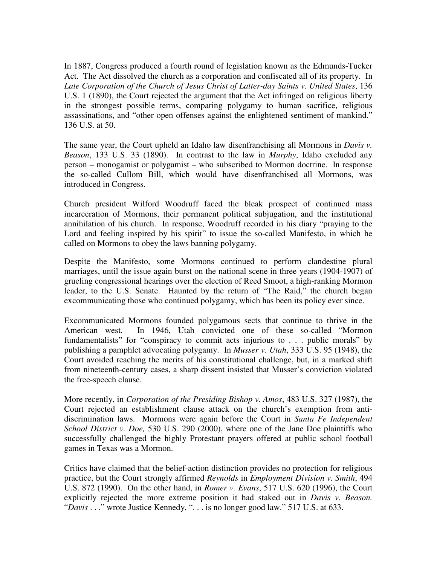In 1887, Congress produced a fourth round of legislation known as the Edmunds-Tucker Act. The Act dissolved the church as a corporation and confiscated all of its property. In *Late Corporation of the Church of Jesus Christ of Latter-day Saints v. United States*, 136 U.S. 1 (1890), the Court rejected the argument that the Act infringed on religious liberty in the strongest possible terms, comparing polygamy to human sacrifice, religious assassinations, and "other open offenses against the enlightened sentiment of mankind." 136 U.S. at 50.

The same year, the Court upheld an Idaho law disenfranchising all Mormons in *Davis v. Beason*, 133 U.S. 33 (1890). In contrast to the law in *Murphy*, Idaho excluded any person – monogamist or polygamist – who subscribed to Mormon doctrine. In response the so-called Cullom Bill, which would have disenfranchised all Mormons, was introduced in Congress.

Church president Wilford Woodruff faced the bleak prospect of continued mass incarceration of Mormons, their permanent political subjugation, and the institutional annihilation of his church. In response, Woodruff recorded in his diary "praying to the Lord and feeling inspired by his spirit" to issue the so-called Manifesto, in which he called on Mormons to obey the laws banning polygamy.

Despite the Manifesto, some Mormons continued to perform clandestine plural marriages, until the issue again burst on the national scene in three years (1904-1907) of grueling congressional hearings over the election of Reed Smoot, a high-ranking Mormon leader, to the U.S. Senate. Haunted by the return of "The Raid," the church began excommunicating those who continued polygamy, which has been its policy ever since.

Excommunicated Mormons founded polygamous sects that continue to thrive in the American west. In 1946, Utah convicted one of these so-called "Mormon fundamentalists" for "conspiracy to commit acts injurious to . . . public morals" by publishing a pamphlet advocating polygamy. In *Musser v. Utah*, 333 U.S. 95 (1948), the Court avoided reaching the merits of his constitutional challenge, but, in a marked shift from nineteenth-century cases, a sharp dissent insisted that Musser's conviction violated the free-speech clause.

More recently, in *Corporation of the Presiding Bishop v. Amos*, 483 U.S. 327 (1987), the Court rejected an establishment clause attack on the church's exemption from antidiscrimination laws. Mormons were again before the Court in *Santa Fe Independent School District v. Doe,* 530 U.S. 290 (2000), where one of the Jane Doe plaintiffs who successfully challenged the highly Protestant prayers offered at public school football games in Texas was a Mormon.

Critics have claimed that the belief-action distinction provides no protection for religious practice, but the Court strongly affirmed *Reynolds* in *Employment Division v. Smith*, 494 U.S. 872 (1990). On the other hand, in *Romer v. Evans*, 517 U.S. 620 (1996), the Court explicitly rejected the more extreme position it had staked out in *Davis v. Beason.*  "*Davis* . . ." wrote Justice Kennedy, ". . . is no longer good law." 517 U.S. at 633.